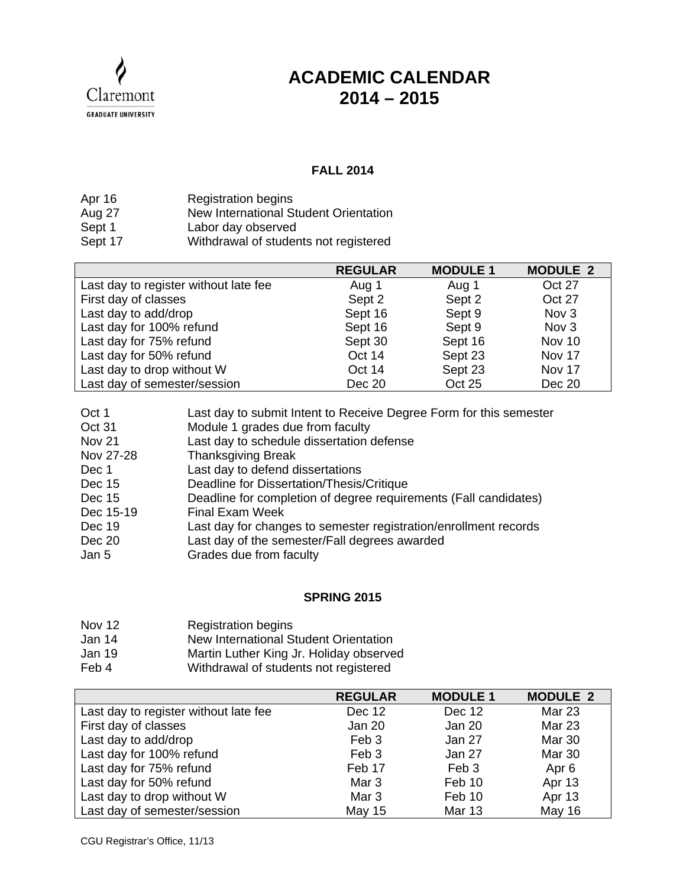Claremont **GRADUATE UNIVERSITY** 

## **ACADEMIC CALENDAR 2014 – 2015**

## **FALL 2014**

| Apr 16  | <b>Registration begins</b>            |
|---------|---------------------------------------|
| Aug 27  | New International Student Orientation |
| Sept 1  | Labor day observed                    |
| Sept 17 | Withdrawal of students not registered |

|                                       | <b>REGULAR</b> | <b>MODULE 1</b> | <b>MODULE 2</b>  |
|---------------------------------------|----------------|-----------------|------------------|
| Last day to register without late fee | Aug 1          | Aug 1           | Oct 27           |
| First day of classes                  | Sept 2         | Sept 2          | Oct 27           |
| Last day to add/drop                  | Sept 16        | Sept 9          | Nov <sub>3</sub> |
| Last day for 100% refund              | Sept 16        | Sept 9          | Nov <sub>3</sub> |
| Last day for 75% refund               | Sept 30        | Sept 16         | Nov 10           |
| Last day for 50% refund               | Oct 14         | Sept 23         | Nov 17           |
| Last day to drop without W            | Oct 14         | Sept 23         | Nov 17           |
| Last day of semester/session          | Dec 20         | Oct 25          | Dec 20           |

| Oct 1     | Last day to submit Intent to Receive Degree Form for this semester |
|-----------|--------------------------------------------------------------------|
| Oct 31    | Module 1 grades due from faculty                                   |
| Nov 21    | Last day to schedule dissertation defense                          |
| Nov 27-28 | <b>Thanksgiving Break</b>                                          |
| Dec 1     | Last day to defend dissertations                                   |
| Dec 15    | Deadline for Dissertation/Thesis/Critique                          |
| Dec 15    | Deadline for completion of degree requirements (Fall candidates)   |
| Dec 15-19 | <b>Final Exam Week</b>                                             |
| Dec 19    | Last day for changes to semester registration/enrollment records   |
| Dec 20    | Last day of the semester/Fall degrees awarded                      |
| Jan 5     | Grades due from faculty                                            |

## **SPRING 2015**

- Nov 12 Registration begins
- Jan 14 New International Student Orientation
- Jan 19 Martin Luther King Jr. Holiday observed
- Feb 4 Withdrawal of students not registered

|                                       | <b>REGULAR</b>   | <b>MODULE 1</b>  | <b>MODULE 2</b>  |
|---------------------------------------|------------------|------------------|------------------|
| Last day to register without late fee | Dec 12           | Dec 12           | <b>Mar 23</b>    |
| First day of classes                  | Jan 20           | Jan 20           | Mar 23           |
| Last day to add/drop                  | Feb 3            | Jan 27           | Mar 30           |
| Last day for 100% refund              | Feb 3            | Jan 27           | Mar 30           |
| Last day for 75% refund               | Feb 17           | Feb <sub>3</sub> | Apr <sub>6</sub> |
| Last day for 50% refund               | Mar <sub>3</sub> | Feb 10           | Apr 13           |
| Last day to drop without W            | Mar <sub>3</sub> | Feb 10           | Apr 13           |
| Last day of semester/session          | <b>May 15</b>    | <b>Mar 13</b>    | May 16           |